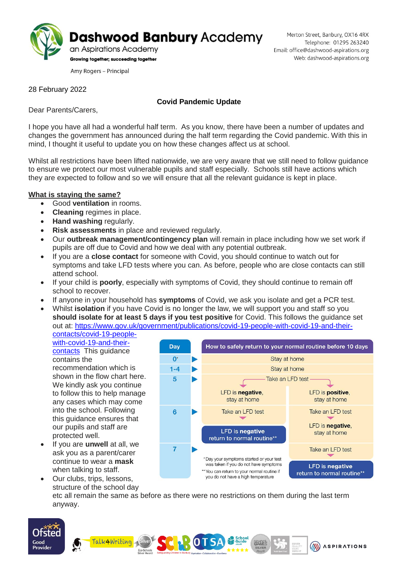

Amy Rogers - Principal

28 February 2022

## **Covid Pandemic Update**

Dear Parents/Carers,

I hope you have all had a wonderful half term. As you know, there have been a number of updates and changes the government has announced during the half term regarding the Covid pandemic. With this in mind, I thought it useful to update you on how these changes affect us at school.

Whilst all restrictions have been lifted nationwide, we are very aware that we still need to follow guidance to ensure we protect our most vulnerable pupils and staff especially. Schools still have actions which they are expected to follow and so we will ensure that all the relevant guidance is kept in place.

## **What is staying the same?**

- Good **ventilation** in rooms.
- **Cleaning** regimes in place.
- **Hand washing** regularly.
- **Risk assessments** in place and reviewed regularly.
- Our **outbreak management/contingency plan** will remain in place including how we set work if pupils are off due to Covid and how we deal with any potential outbreak.
- If you are a **close contact** for someone with Covid, you should continue to watch out for symptoms and take LFD tests where you can. As before, people who are close contacts can still attend school.
- If your child is **poorly**, especially with symptoms of Covid, they should continue to remain off school to recover.
- If anyone in your household has **symptoms** of Covid, we ask you isolate and get a PCR test.
- Whilst **isolation** if you have Covid is no longer the law, we will support you and staff so you **should isolate for at least 5 days if you test positive** for Covid. This follows the guidance set out at: [https://www.gov.uk/government/publications/covid-19-people-with-covid-19-and-their](https://www.gov.uk/government/publications/covid-19-people-with-covid-19-and-their-contacts/covid-19-people-with-covid-19-and-their-contacts)[contacts/covid-19-people-](https://www.gov.uk/government/publications/covid-19-people-with-covid-19-and-their-contacts/covid-19-people-with-covid-19-and-their-contacts)

[with-covid-19-and-their](https://www.gov.uk/government/publications/covid-19-people-with-covid-19-and-their-contacts/covid-19-people-with-covid-19-and-their-contacts)[contacts](https://www.gov.uk/government/publications/covid-19-people-with-covid-19-and-their-contacts/covid-19-people-with-covid-19-and-their-contacts) This guidance contains the recommendation which is shown in the flow chart here. We kindly ask you continue to follow this to help manage any cases which may come into the school. Following this guidance ensures that our pupils and staff are protected well.

 If you are **unwell** at all, we ask you as a parent/carer continue to wear a **mask** when talking to staff. Our clubs, trips, lessons,

Good

Provider



structure of the school day etc all remain the same as before as there were no restrictions on them during the last term anyway.